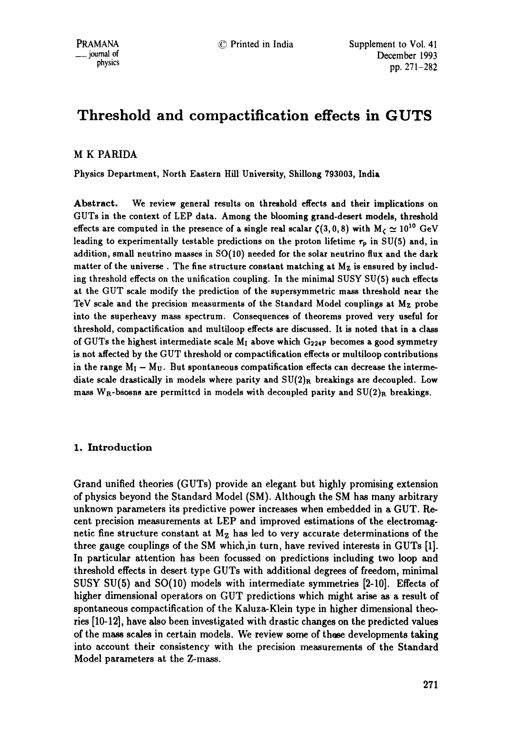# **Threshold and compactiflcation effects in GUTS**

# M K PARIDA

Physics Department, North Eastern Hill University, Shillong ?93003, India

Abstract. We review general results on threshold effects and their implications on GUTs in the context of LEP data. Among the blooming grand-desert models, threshold effects are computed in the presence of a single real scalar  $\zeta(3, 0, 8)$  with  $M_c \simeq 10^{10}$  GeV leading to experimentally testable predictions on the proton lifetime  $\tau_p$  in SU(5) and, in addition, small neutrino masses in SO(10) needed for the solar neutrino flux and the dark matter of the universe. The fine structure constant matching at  $M<sub>Z</sub>$  is ensured by including threshold effects on the unification coupling. In the minimal SUSY SU(5) such effects at the GUT scale modify the prediction of the supersymmetric mass threshold near the TeV scale and the precision measurments of the Standard Model couplings at Mz probe into the superheavy mass spectrum. Consequences of theorems proved very useful for threshold, compactification and multiloop effects are discussed. It is noted that in a class of GUTs the highest intermediate scale  $M_1$  above which  $G_{224P}$  becomes a good symmetry is not affected by the GUT threshold or compactification effects or multiloop contributions in the range  $M_I - M_U$ . But spontaneous compatification effects can decrease the intermediate scale drastically in models where parity and  $SU(2)_R$  breakings are decoupled. Low mass W<sub>R</sub>-bsosns are permitted in models with decoupled parity and  $SU(2)_R$  breakings.

# 1. Introduction

Grand unified theories (GUTs) provide an elegant but highly promising extension of physics beyond the Standard Model (SM). Although the SM has many arbitrary unknown parameters its predictive power increases when embedded in a GUT. Recent precision measurements at LEP and improved estimations of the electromagnetic fine structure constant at  $M<sub>Z</sub>$  has led to very accurate determinations of the three gauge couplings of the SM which,in turn, have revived interests in GUTs [1]. In particular attention has been focussed on predictions including two loop and threshold effects in desert type GUTs with additional degrees of freedom, minimal SUSY SU(5) and SO(10) models with intermediate symmetries [2-10]. Effects of higher dimensional operators on GUT predictions which might arise as a result of spontaneous compactification of the Kaluza-Klein type in higher dimensional theories [10-12], have also been investigated with drastic changes on the predicted values of the mass scales in certain models. We review some of these developments taking into account their consistency with the precision measurements of the Standard Model parameters at the Z-mass.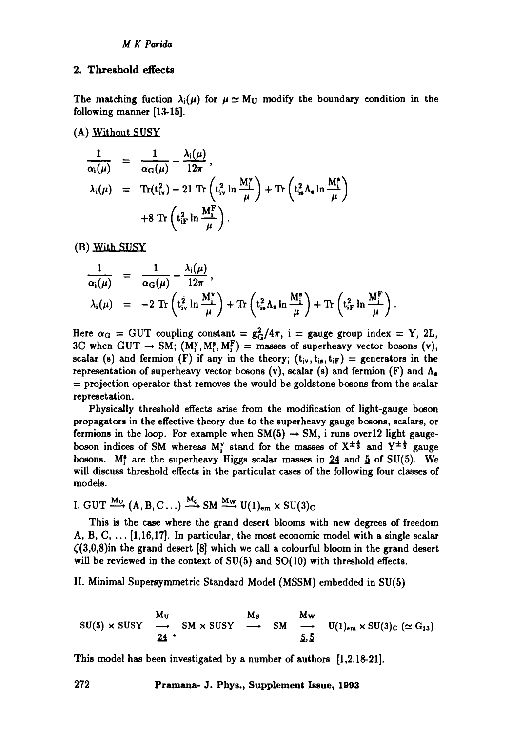# 2. Threshold effects

The matching fuction  $\lambda_i(\mu)$  for  $\mu \simeq M_U$  modify the boundary condition in the following manner [13-15].

(A) Without SUSy

$$
\frac{1}{\alpha_{i}(\mu)} = \frac{1}{\alpha_{G}(\mu)} - \frac{\lambda_{i}(\mu)}{12\pi},
$$
\n
$$
\lambda_{i}(\mu) = \text{Tr}(t_{iv}^{2}) - 21 \text{ Tr}\left(t_{iv}^{2} \ln \frac{M_{i}^{v}}{\mu}\right) + \text{Tr}\left(t_{is}^{2} \Lambda_{e} \ln \frac{M_{i}^{s}}{\mu}\right)
$$
\n
$$
+ 8 \text{ Tr}\left(t_{ir}^{2} \ln \frac{M_{i}^{F}}{\mu}\right).
$$

**(B)** 

$$
\frac{1}{\alpha_{i}(\mu)} = \frac{1}{\alpha_{G}(\mu)} - \frac{\lambda_{i}(\mu)}{12\pi},
$$
\n
$$
\lambda_{i}(\mu) = -2 \operatorname{Tr} \left( t_{iv}^{2} \ln \frac{M_{i}^{v}}{\mu} \right) + \operatorname{Tr} \left( t_{is}^{2} \Lambda_{s} \ln \frac{M_{i}^{s}}{\mu} \right) + \operatorname{Tr} \left( t_{iF}^{2} \ln \frac{M_{i}^{F}}{\mu} \right).
$$

Here  $\alpha_G = GUT$  coupling constant =  $g^2_G/4\pi$ , i = gauge group index = Y, 2L, 3C when GUT  $\rightarrow$  SM;  $(M_i^v, M_i^s, M_i^F)$  = masses of superheavy vector bosons (v), scalar (s) and fermion (F) if any in the theory;  $(t_{iv}, t_{is}, t_{if}) =$  generators in the representation of superheavy vector bosons (v), scalar (s) and fermion (F) and  $\Lambda_{\rm s}$  $=$  projection operator that removes the would be goldstone bosons from the scalar represetation.

Physically threshold effects arise from the modification of light-gauge boson propagators in the effective theory due to the superheavy gauge bosons, scalars, or fermions in the loop. For example when  $SM(5) \rightarrow SM$ , i runs over 12 light gaugeboson indices of SM whereas M<sup>y</sup> stand for the masses of  $X^{\pm \frac{4}{3}}$  and  $Y^{\pm \frac{1}{3}}$  gauge bosons. M<sup>\*</sup> are the superheavy Higgs scalar masses in 24 and  $5$  of SU(5). We will discuss threshold effects in the particular cases of the following four classes of models.

I. GUT 
$$
\xrightarrow{M_U}
$$
 (A, B, C...)  $\xrightarrow{M_c}$  SM  $\xrightarrow{M_W}$  U(1)<sub>em</sub> x SU(3)<sub>C</sub>

This is the case where the grand desert blooms with new degrees of freedom A, B, C,  $\dots$  [1,16,17]. In particular, the most economic model with a single scalar  $(3,0,8)$ in the grand desert [8] which we call a colourful bloom in the grand desert will be reviewed in the context of  $SU(5)$  and  $SO(10)$  with threshold effects.

II. Minimal Supersymmetric Standard Model (MSSM) embedded in SU(5)

$$
SU(5) \times SUSY \quad \xrightarrow{\mathbf{M}_{\mathrm{U}}} \quad SM \times SUSY \quad \xrightarrow{\mathbf{M}_{\mathrm{S}}} \quad SM \quad \xrightarrow{\mathbf{M}_{\mathrm{W}}} \quad U(1)_{\mathrm{em}} \times SU(3)_{\mathrm{C}} \; (\simeq G_{13})
$$

This model has been investigated by a number of authors [1,2,18-21].

**272 Pramana- J. Phys., Supplement Issue, 1993**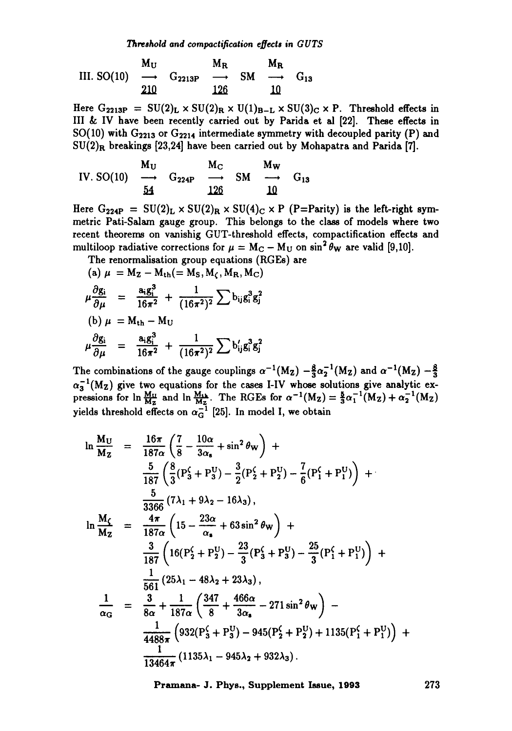III. SO(10) 
$$
\longrightarrow
$$
  $G_{2213P}$   $\longrightarrow$   $M_R$   $M_R$   
210  $210$   $126$   $10$ 

Here  $G_{2213P} = SU(2)_L \times SU(2)_R \times U(1)_{B-L} \times SU(3)_C \times P$ . Threshold effects in III& IV have been recently carried out by Parida et al [22]. These effects in SO(10) with  $G_{2213}$  or  $G_{2214}$  intermediate symmetry with decoupled parity (P) and  $SU(2)_R$  breakings [23,24] have been carried out by Mohapatra and Parida [7].

IV. SO(10) 
$$
\xrightarrow{\mathbf{M_U}}
$$
  $\mathbf{G_{224P}}$   $\xrightarrow{\mathbf{M_C}}$   $\mathbf{S_M}$   $\xrightarrow{\mathbf{M_W}}$   $\mathbf{G_{13}}$   
54  $126$   $10$ 

Here  $G_{224P} = SU(2)_L \times SU(2)_R \times SU(4)_C \times P$  (P=Parity) is the left-right symmetric Pati-Salam gauge group. This belongs to the class of models where two recent theorems on vanishig GUT-threshold effects, compactification effects and multiloop radiative corrections for  $\mu = M_C - M_U$  on  $\sin^2 \theta_W$  are valid [9,10].

The renormalisation group equations (RGEs) are  
\n(a) 
$$
\mu = M_Z - M_{th} (= M_S, M_C, M_R, M_C)
$$
  
\n $\mu \frac{\partial g_i}{\partial \mu} = \frac{a_i g_i^3}{16\pi^2} + \frac{1}{(16\pi^2)^2} \sum b_{ij} g_i^3 g_j^2$   
\n(b)  $\mu = M_{th} - M_U$   
\n $\mu \frac{\partial g_i}{\partial \mu} = \frac{a_i g_i^3}{16\pi^2} + \frac{1}{(16\pi^2)^2} \sum b'_{ij} g_i^3 g_j^2$ 

The combinations of the gauge couplings  $\alpha^{-1}(M_Z) - \frac{8}{3}\alpha^{-1}(M_Z)$  and  $\alpha^{-1}(M_Z) - \frac{8}{3}$  $\alpha_3^{-1}(M_Z)$  give two equations for the cases I-IV whose solutions give analytic expressions for  $\ln \frac{M\mu}{M\pi}$  and  $\ln \frac{M\mu}{M\pi}$ . The RGEs for  $\alpha^{-1}(M_Z)=\frac{9}{3}\alpha_1^{-1}(M_Z)+\alpha_2^{-1}(M_Z)$ yields threshold effects on  $\alpha_{\rm G}^{-1}$  [25]. In model I, we obtain

$$
\ln \frac{M_U}{M_Z} = \frac{16\pi}{187\alpha} \left( \frac{7}{8} - \frac{10\alpha}{3\alpha_s} + \sin^2 \theta_W \right) + \n\frac{5}{187} \left( \frac{8}{3} (P_3^c + P_3^U) - \frac{3}{2} (P_2^c + P_2^U) - \frac{7}{6} (P_1^c + P_1^U) \right) + \n\frac{5}{3366} (7\lambda_1 + 9\lambda_2 - 16\lambda_3), \n\ln \frac{M_C}{M_Z} = \frac{4\pi}{187\alpha} \left( 15 - \frac{23\alpha}{\alpha_s} + 63 \sin^2 \theta_W \right) + \n\frac{3}{187} \left( 16 (P_2^c + P_2^U) - \frac{23}{3} (P_3^c + P_3^U) - \frac{25}{3} (P_1^c + P_1^U) \right) + \n\frac{1}{561} (25\lambda_1 - 48\lambda_2 + 23\lambda_3), \n\frac{1}{\alpha_G} = \frac{3}{8\alpha} + \frac{1}{187\alpha} \left( \frac{347}{8} + \frac{466\alpha}{3\alpha_s} - 271 \sin^2 \theta_W \right) - \n\frac{1}{4488\pi} \left( 932 (P_3^c + P_3^U) - 945 (P_2^c + P_2^U) + 1135 (P_1^c + P_1^U) \right) + \n\frac{1}{13464\pi} (1135\lambda_1 - 945\lambda_2 + 932\lambda_3).
$$

Pramana- J. Phys., Supplement Issue, 1993 273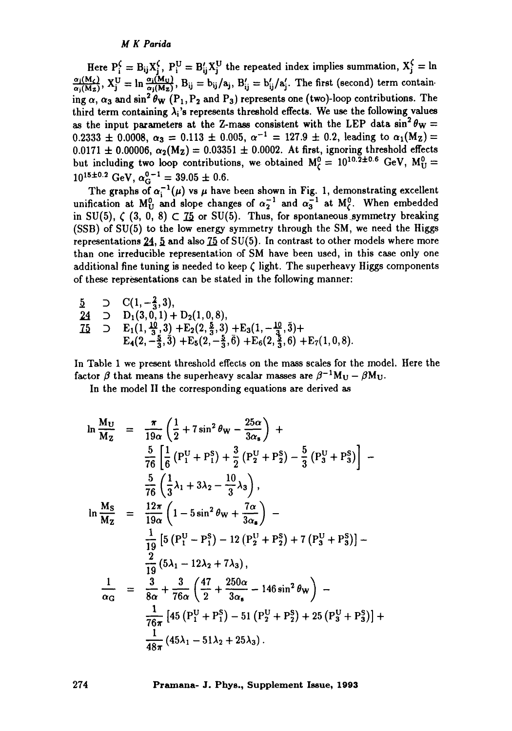## *M K Parida*

Here  $P_i^{\zeta} = B_{ij}X_j^{\zeta}$ ,  $P_i^{\Upsilon} = B'_{ij}X_j^{\Upsilon}$  the repeated index implies summation,  $X_j^{\zeta} = \ln$  $\frac{\alpha_j(M_c)}{\alpha_j(M_z)}$ ,  $X_j^U = \ln \frac{\alpha_i(M_U)}{\alpha_j(M_z)}$ ,  $B_{ij} = b_{ij}/a_j$ ,  $B'_{ij} = b'_{ij}/a'_j$ . The first (second) term containing  $\alpha$ ,  $\alpha_3$  and  $\sin^2 \theta_W$  (P<sub>1</sub>, P<sub>2</sub> and P<sub>3</sub>) represents one (two)-loop contributions. The third term containing  $\lambda_i$ 's represents threshold effects. We use the following values as the input parameters at the Z-mass consistent with the LEP data  $\sin^2 \theta_w =$ 0.2333  $\pm$  0.0008,  $\alpha_3 = 0.113 \pm 0.005$ ,  $\alpha^{-1} = 127.9 \pm 0.2$ , leading to  $\alpha_1(M_Z)$  $0.0171 \pm 0.00006$ ,  $\alpha_2(M_z) = 0.03351 \pm 0.0002$ . At first, ignoring threshold effects but including two loop contributions, we obtained  $M_{\text{C}}^0 = 10^{10.2 \pm 0.6}$  GeV,  $M_{\text{U}}^0$  =  $10^{15 \pm 0.2}$  GeV,  $\alpha_{\rm G}^{0-1} = 39.05 \pm 0.6$ .

The graphs of  $\alpha_i^{-1}(\mu)$  vs  $\mu$  have been shown in Fig. 1, demonstrating excellent unification at  $M_U^0$  and slope changes of  $\alpha_2^{-1}$  and  $\alpha_3^{-1}$  at  $M_C^0$ . When embedded in SU(5),  $\zeta$  (3, 0, 8)  $\zeta$  75 or SU(5). Thus, for spontaneous symmetry breaking (SSB) of SU(5) to the low energy symmetry through the SM, we need the Higgs representations  $24$ ,  $5$  and also  $75$  of SU(5). In contrast to other models where more than one irreducible representation of SM have been used, in this case only one additional fine tuning is needed to keep  $\zeta$  light. The superheavy Higgs components of these representations can be stated in the following manner:

 $\frac{5}{2}$  D C(1, - $\frac{2}{3}$ , 3),  $24$  D  $D_1(3,0,1) + D_2(1,0,8),$  $\text{75}$  D  $\text{E}_1(1, \frac{10}{3}, 3) + \text{E}_2(2, \frac{2}{3}, 3) + \text{E}_3(1, -\frac{10}{3}, 3) +$  $E_4(2,-\frac{3}{3},3) +E_5(2,-\frac{3}{3},6) +E_6(2,\frac{3}{3},6) +E_7(1,0,8).$ 

In Table 1 we present threshold effects on the mass scales for the model. Here the factor  $\beta$  that means the superheavy scalar masses are  $\beta^{-1}M_U - \beta M_U$ .

In the model II the corresponding equations are derived as

$$
\ln \frac{M_U}{M_Z} = \frac{\pi}{19\alpha} \left( \frac{1}{2} + 7\sin^2 \theta_W - \frac{25\alpha}{3\alpha_s} \right) +
$$
  
\n
$$
\frac{5}{76} \left[ \frac{1}{6} (P_1^U + P_1^S) + \frac{3}{2} (P_2^U + P_2^S) - \frac{5}{3} (P_3^U + P_3^S) \right] -
$$
  
\n
$$
\frac{5}{76} \left( \frac{1}{3} \lambda_1 + 3\lambda_2 - \frac{10}{3} \lambda_3 \right),
$$
  
\n
$$
\ln \frac{M_S}{M_Z} = \frac{12\pi}{19\alpha} \left( 1 - 5\sin^2 \theta_W + \frac{7\alpha}{3\alpha_s} \right) -
$$
  
\n
$$
\frac{1}{19} \left[ 5 (P_1^U - P_1^S) - 12 (P_2^U + P_2^S) + 7 (P_3^U + P_3^S) \right] -
$$
  
\n
$$
\frac{2}{19} (5\lambda_1 - 12\lambda_2 + 7\lambda_3),
$$
  
\n
$$
\frac{1}{\alpha_G} = \frac{3}{8\alpha} + \frac{3}{76\alpha} \left( \frac{47}{2} + \frac{250\alpha}{3\alpha_s} - 146\sin^2 \theta_W \right) -
$$
  
\n
$$
\frac{1}{76\pi} \left[ 45 (P_1^U + P_1^S) - 51 (P_2^U + P_2^S) + 25 (P_3^U + P_3^S) \right] +
$$
  
\n
$$
\frac{1}{48\pi} (45\lambda_1 - 51\lambda_2 + 25\lambda_3).
$$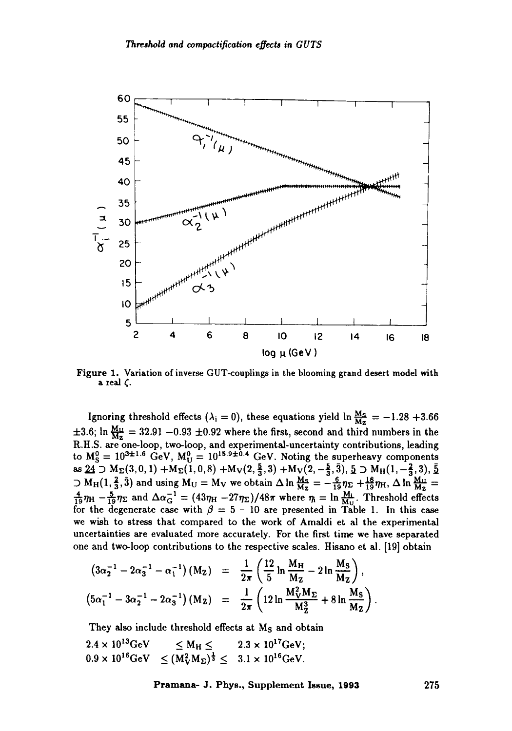

Figure 1. Variation of inverse GUT-couplings in the blooming grand desert model with a real  $\zeta$ .

Ignoring threshold effects ( $\lambda_i = 0$ ), these equations yield  $\ln \frac{M_S}{M_Z} = -1.28 + 3.66$  $\pm 3.6$ ; In  $\frac{642}{642}$  = 32.91 -0.93  $\pm 0.92$  where the first, second and third numbers in the R.H.S. are one-loop, two-loop, and experimental-uncertainty contributions, leading to  $M_{\rm S}^{\rm g}=10^{321.5}$  GeV,  $M_{\rm U}^{\rm g}=10^{13.9\pm0.4}$  GeV. Noting the superheavy components as  $24 \supset M_{\Sigma}(3,0,1) + M_{\Sigma}(1,0,8) + M_{\mathcal{V}}(2,\frac{5}{3},3) + M_{\mathcal{V}}(2,-\frac{5}{3},\overline{3}), \underline{5} \supset M_{\mathcal{H}}(1,-\frac{2}{3},3), \overline{5}$  $\supset M_H(1, \frac{4}{3}, 3)$  and using  $M_U = M_V$  we obtain  $\Delta \ln \frac{M_S}{M_Z} = -\frac{2}{10} \eta_{\Sigma} + \frac{18}{10} \eta_{\rm H}$ ,  $\Delta \ln \frac{M_U}{M_Z} =$  $\frac{4}{19}\eta_H - \frac{8}{19}\eta_\Sigma$  and  $\Delta\alpha_G^{-1} = (43\eta_H - 27\eta_\Sigma)/48\pi$  where  $\eta_i = \ln \frac{M_i}{M_{\rm tot}}$ . Threshold effects for the degenerate case with  $\beta = 5 - 10$  are presented in Table 1. In this case we wish to stress that compared to the work of Amaldi et al the experimental uncertainties are evaluated more accurately. For the first time we have separated one and two-loop contributions to the respective scales, ttisano et al. [19] obtain

$$
(3\alpha_2^{-1} - 2\alpha_3^{-1} - \alpha_1^{-1})(M_Z) = \frac{1}{2\pi} \left(\frac{12}{5} \ln \frac{M_H}{M_Z} - 2 \ln \frac{M_S}{M_Z}\right),
$$
  

$$
(5\alpha_1^{-1} - 3\alpha_2^{-1} - 2\alpha_3^{-1})(M_Z) = \frac{1}{2\pi} \left(12 \ln \frac{M_V^2 M_E}{M_Z^3} + 8 \ln \frac{M_S}{M_Z}\right).
$$

They also include threshold effects at M<sub>S</sub> and obtain

$$
2.4 \times 10^{13} \text{GeV} \leq M_{\text{H}} \leq 2.3 \times 10^{17} \text{GeV};
$$
  

$$
0.9 \times 10^{16} \text{GeV} \leq (M_{\text{V}}^2 M_{\Sigma})^{\frac{1}{3}} \leq 3.1 \times 10^{16} \text{GeV}.
$$

**Pramana- J. Phys., Supplement Issue, 1993 275**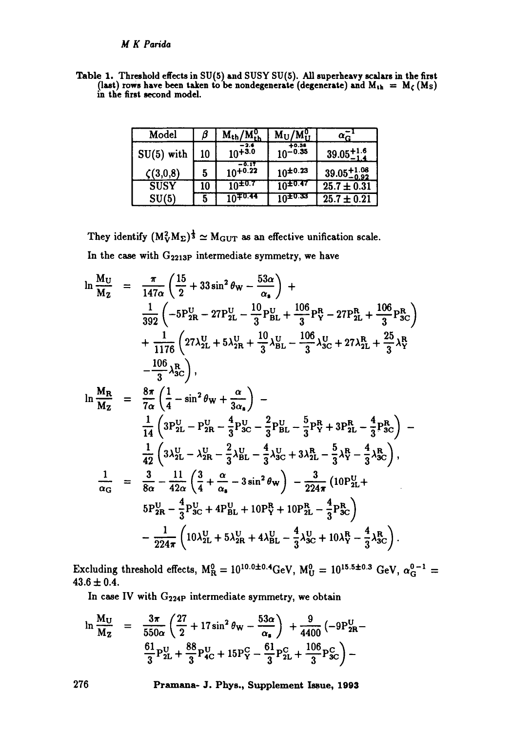Table I. Threshold effects in SU(5) **and** SUSY SU(5). All superheavy scalars in the first (last) rows have been taken to be nondegenerate (degenerate) and  $M_{th} = M_c(M_s)$ in the first second model.

| Model          | β  | $M_{th}/M_{th}^0$       | $M_U/M_U^0$             | $\alpha_{\rm G}^-$      |
|----------------|----|-------------------------|-------------------------|-------------------------|
| $SU(5)$ with   | 10 | -2.6<br>$10+3.0$        | $+0.38$<br>$10^{-0.35}$ | $39.05_{-1.4}^{+1.6}$   |
| $\zeta(3,0,8)$ | 5  | $-0.17$<br>$10^{+0.22}$ | $10^{+0.23}$            | $39.05^{+1.08}_{-0.92}$ |
| <b>SUSY</b>    | 10 | $10^{\pm 0.7}$          | $10^{+0.47}$            | $25.7 \pm 0.31$         |
| SU(5)          | 5  | $10^{+0.44}$            | $10^{10.33}$            | $25.7 \pm 0.21$         |

They identify  $(M_V^2M_\Sigma)^{\frac{1}{3}} \simeq M_{\rm GUT}$  as an effective unification scale. In the case with  $G_{2213P}$  intermediate symmetry, we have

$$
\ln \frac{M_U}{M_Z} = \frac{\pi}{147\alpha} \left( \frac{15}{2} + 33 \sin^2 \theta_W - \frac{53\alpha}{\alpha_s} \right) + \n\frac{1}{392} \left( -5 P_{2R}^U - 27 P_{2L}^U - \frac{10}{3} P_{BL}^U + \frac{106}{3} P_{Y}^R - 27 P_{2L}^R + \frac{106}{3} P_{3C}^R \right) \n+ \frac{1}{1176} \left( 27 \lambda_{2L}^U + 5 \lambda_{2R}^U + \frac{10}{3} \lambda_{BL}^U - \frac{106}{3} \lambda_{3C}^U + 27 \lambda_{2L}^R + \frac{25}{3} \lambda_{Y}^R \right) \n- \frac{106}{3} \lambda_{3C}^R \right), \n\ln \frac{M_R}{M_Z} = \frac{8\pi}{7\alpha} \left( \frac{1}{4} - \sin^2 \theta_W + \frac{\alpha}{3\alpha_s} \right) - \n\frac{1}{14} \left( 3 P_{2L}^U - P_{2R}^U - \frac{4}{3} P_{3C}^U - \frac{2}{3} P_{BL}^U - \frac{5}{3} P_{Y}^R + 3 P_{2L}^R - \frac{4}{3} P_{3C}^R \right) - \n\frac{1}{42} \left( 3 \lambda_{2L}^U - \lambda_{2R}^U - \frac{2}{3} \lambda_{BL}^U - \frac{4}{3} \lambda_{3C}^U + 3 \lambda_{2L}^R - \frac{5}{3} \lambda_{Y}^R - \frac{4}{3} \lambda_{3C}^R \right), \n\frac{1}{\alpha_G} = \frac{3}{8\alpha} - \frac{11}{42\alpha} \left( \frac{3}{4} + \frac{\alpha}{\alpha_s} - 3 \sin^2 \theta_W \right) - \frac{3}{224\pi} \left( 10 P_{2L}^U + 5 P_{2R}^U - \frac{4}{3} P_{3C}^U \right) - \frac{1}{224\pi} \left( 10 \lambda_{2L}^U + 5 \lambda_{2R}^U + 4 \lambda_{BL}^U - \frac{4}{3} \lambda_{3C}^U + 10 \lambda_{Y}^R -
$$

Excluding threshold effects,  $M_R^0 = 10^{10.0 \pm 0.4}$ GeV,  $M_U^0 = 10^{15.5 \pm 0.3}$  GeV,  $\alpha_G^{0-1}$  $43.6 \pm 0.4$ .

In case IV with  $G_{224P}$  intermediate symmetry, we obtain

$$
\ln \frac{M_U}{M_Z} = \frac{3\pi}{550\alpha} \left( \frac{27}{2} + 17\sin^2 \theta_W - \frac{53\alpha}{\alpha_s} \right) + \frac{9}{4400} \left( -9P_{2R}^U - \frac{61}{3}P_{2L}^U + \frac{88}{3}P_{4C}^U + 15P_Y^C - \frac{61}{3}P_{2L}^C + \frac{106}{3}P_{3C}^C \right) -
$$

**276 Pramana- J. Phys., Supplement Issue, 1993**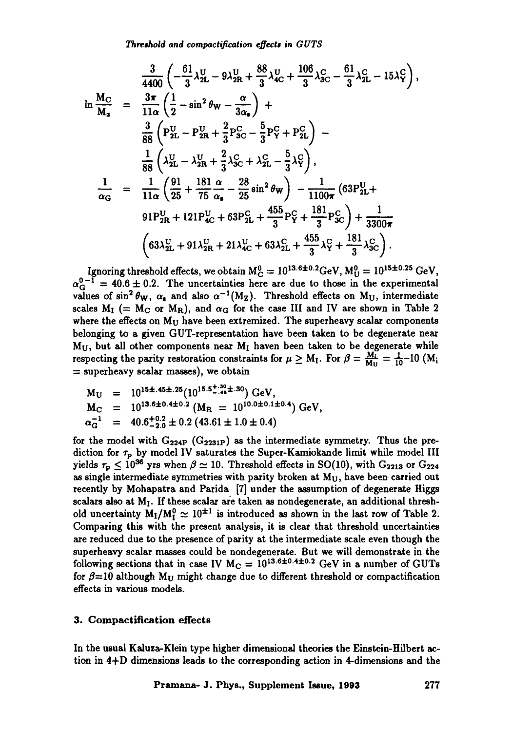*Threshold and compactification effects in GUTS* 

$$
\frac{3}{4400} \left( -\frac{61}{3} \lambda_{2L}^{U} - 9 \lambda_{2R}^{U} + \frac{88}{3} \lambda_{4C}^{U} + \frac{106}{3} \lambda_{3C}^{C} - \frac{61}{3} \lambda_{2L}^{C} - 15 \lambda_{Y}^{C} \right),
$$
  
\n
$$
\ln \frac{M_{C}}{M_{a}} = \frac{3\pi}{11\alpha} \left( \frac{1}{2} - \sin^{2} \theta_{W} - \frac{\alpha}{3\alpha_{a}} \right) +
$$
  
\n
$$
\frac{3}{88} \left( P_{2L}^{U} - P_{2R}^{U} + \frac{2}{3} P_{3C}^{C} - \frac{5}{3} P_{Y}^{C} + P_{2L}^{C} \right) -
$$
  
\n
$$
\frac{1}{88} \left( \lambda_{2L}^{U} - \lambda_{2R}^{U} + \frac{2}{3} \lambda_{3C}^{C} + \lambda_{2L}^{C} - \frac{5}{3} \lambda_{Y}^{C} \right),
$$
  
\n
$$
\frac{1}{\alpha_{G}} = \frac{1}{11\alpha} \left( \frac{91}{25} + \frac{181}{75} \frac{\alpha}{\alpha_{a}} - \frac{28}{25} \sin^{2} \theta_{W} \right) - \frac{1}{1100\pi} \left( 63 P_{2L}^{U} + 91 P_{2R}^{U} + 121 P_{4C}^{U} + 63 P_{2L}^{C} + \frac{455}{3} P_{Y}^{C} + \frac{181}{3} P_{3C}^{C} \right) + \frac{1}{3300\pi}
$$
  
\n
$$
\left( 63 \lambda_{2L}^{U} + 91 \lambda_{2R}^{U} + 21 \lambda_{4C}^{U} + 63 \lambda_{2L}^{C} + \frac{455}{3} \lambda_{Y}^{C} + \frac{181}{3} \lambda_{3C}^{C} \right).
$$

Ignoring threshold effects, we obtain  $M_C^0 = 10^{13.6 \pm 0.2}$  GeV,  $M_U^0 = 10^{15 \pm 0.25}$  GeV,  $\alpha_{\rm G}^{\rm U-1} = 40.6\pm 0.2$ . The uncertainties here are due to those in the experimental values of  $\sin^2 \theta_w$ ,  $\alpha_s$  and also  $\alpha^{-1}(M_Z)$ . Threshold effects on  $M_U$ , intermediate scales  $M_I$  (=  $M_C$  or  $M_R$ ), and  $\alpha_G$  for the case III and IV are shown in Table 2 where the effects on  $M_U$  have been extremized. The superheavy scalar components belonging to a given GUT-representation have been taken to be degenerate near  $M_U$ , but all other components near  $M_I$  haven been taken to be degenerate while respecting the parity restoration constraints for  $\mu \ge M_I$ . For  $\beta = \frac{M_I}{M_{II}} = \frac{1}{10}$ -10 (M<sub>i</sub>  $=$  superheavy scalar masses), we obtain

$$
M_U = 10^{15 \pm .45 \pm .25} (10^{15.5 \pm .36 \pm .30}) \text{ GeV},
$$
  
\n
$$
M_C = 10^{13.6 \pm 0.4 \pm 0.2} (M_R = 10^{10.0 \pm 0.1 \pm 0.4}) \text{ GeV},
$$
  
\n
$$
\alpha_G^{-1} = 40.6^{+0.2}_{-2.0} \pm 0.2 (43.61 \pm 1.0 \pm 0.4)
$$

for the model with  $G_{224P}$  ( $G_{2231P}$ ) as the intermediate symmetry. Thus the prediction for  $\tau_p$  by model IV saturates the Super-Kamiokande limit while model III yields  $\tau_p \leq 10^{36}$  yrs when  $\beta \simeq 10$ . Threshold effects in SO(10), with G<sub>2213</sub> or G<sub>224</sub> as single intermediate symmetries with parity broken at  $M_U$ , have been carried out recently by Mohapatra and Parida [7] under the assumption of degenerate Higgs scalars also at  $M_I$ . If these scalar are taken as nondegenerate, an additional threshold uncertainty  $M_1/M_1^0 \simeq 10^{\pm 1}$  is introduced as shown in the last row of Table 2. Comparing this with the present analysis, it is clear that threshold uncertainties are reduced due to the presence of parity at the intermediate scale even though the superheavy scalar masses could be nondegenerate. But we will demonstrate in the following sections that in case IV  $M_C = 10^{13.6 \pm 0.4 \pm 0.2}$  GeV in a number of GUTs for  $\beta=10$  although M<sub>U</sub> might change due to different threshold or compactification effects in various models.

## **3. Compactification effects**

In the usual Kaluza-Klein type higher dimensional theories the Einstein-Hilbert action in 4+D dimensions leads to the corresponding action in 4-dimensions and the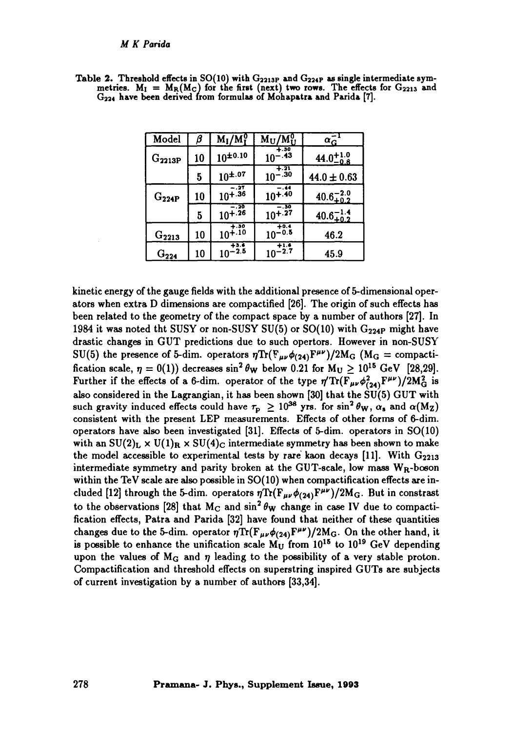#### *M K Parida*

| Model       | ß  | $M_I/M_I^0$          | $\rm M_U/M_U^0$                | $\alpha_{\rm G}$     |
|-------------|----|----------------------|--------------------------------|----------------------|
| $G_{2213P}$ | 10 | $10^{\pm 0.10}$      | $+.30$<br>$10^{-.43}$          | $44.0^{+1.0}_{-0.8}$ |
|             | 5  | $10^{\pm.07}$        | $\overline{10^{-.30}}$         | $44.0 \pm 0.63$      |
| $G_{224P}$  | 10 | $10^{+.27}_{+.36}$   | $-14$<br>$10^{+.40}$           | $40.6_{+0.2}^{-2.0}$ |
|             | 5  | $-20$<br>$10^{+.26}$ | $-.30$<br>$10^{+.27}$          | $40.6_{+0.2}^{-1.4}$ |
| $G_{2213}$  | 10 | $10^{+.30}_{+.10}$   | $\frac{10^{-10.4}}{10^{-0.5}}$ | 46.2                 |
| $G_{224}$   | 10 | $10^{-2.5}$          | $10^{-2.7}$                    | 45.9                 |

Table 2. Threshold effects in SO(10) with  $G_{2213P}$  and  $G_{224P}$  as single intermediate symmetries.  $M_I = M_R(M_C)$  for the first (next) two rows. The effects for  $G_{2213}$  and G224 have been derived from formulas of Mohapatra and Parida [7].

kinetic energy of the gauge fields with the additional presence of 5-dimensional operators when extra D dimensions are compactified [26]. The origin of such effects has been related to the geometry of the compact space by a number of authors [27]. In 1984 it was noted tht SUSY or non-SUSY SU(5) or SO(10) with  $G_{224P}$  might have drastic changes in GUT predictions due to such opertors. However in non-SUSY SU(5) the presence of 5-dim. operators  $\eta \text{Tr}(\mathbf{F}_{\mu\nu}\phi_{(24)}\mathbf{F}^{\mu\nu})/2\mathbf{M}_{\text{G}}$  (M<sub>G</sub> = compactification scale,  $\eta = 0(1)$ ) decreases sin<sup>2</sup>  $\theta_{\rm W}$  below 0.21 for M<sub>U</sub>  $\geq 10^{15}$  GeV [28,29]. Further if the effects of a 6-dim. operator of the type  $\eta' \text{Tr}(\overline{F_{\mu\nu}} \phi_{(24)}^2 F^{\mu\nu})/2M_G^2$  is also considered in the Lagrangian, it has been shown [30] that the  $\tilde{SU}(5)$  GUT with such gravity induced effects could have  $\tau_p \ge 10^{38}$  yrs. for sin<sup>2</sup>  $\theta_W$ ,  $\alpha_s$  and  $\alpha(M_Z)$ consistent with the present LEP measurements. Effects of other forms of 6-dim. operators have also been investigated [31]. Effects of 5-dim. operators in SO(10) with an  $SU(2)_L \times U(1)_R \times SU(4)_C$  intermediate symmetry has been shown to make the model accessible to experimental tests by rare kaon decays [11]. With  $G_{2213}$ intermediate symmetry and parity broken at the GUT-scale, low mass  $W_R$ -boson within the TeV scale are also possible in SO(10) when compactification effects are included [12] through the 5-dim. operators  $\eta \text{Tr}(\mathbf{F}_{\mu\nu} \phi_{(24)} \mathbf{F}^{\mu\nu})/2\mathbf{M}_{\mathbf{G}}$ . But in constrast to the observations [28] that M<sub>C</sub> and  $\sin^2 \theta_W$  change in case IV due to compactification effects, Patra and Parida [32] have found that neither of these quantities changes due to the 5-dim. operator  $\eta \text{Tr}(\mathbf{F}_{\mu\nu} \phi_{(24)} \mathbf{F}^{\mu\nu})/2\mathbf{M}_{\mathbf{G}}$ . On the other hand, it is possible to enhance the unification scale  $M_{II}$  from  $10^{15}$  to  $10^{19}$  GeV depending upon the values of  $M_G$  and  $\eta$  leading to the possibility of a very stable proton. Compactification and threshold effects on superstring inspired GUTs are subjects of current investigation by a number of authors [33,34].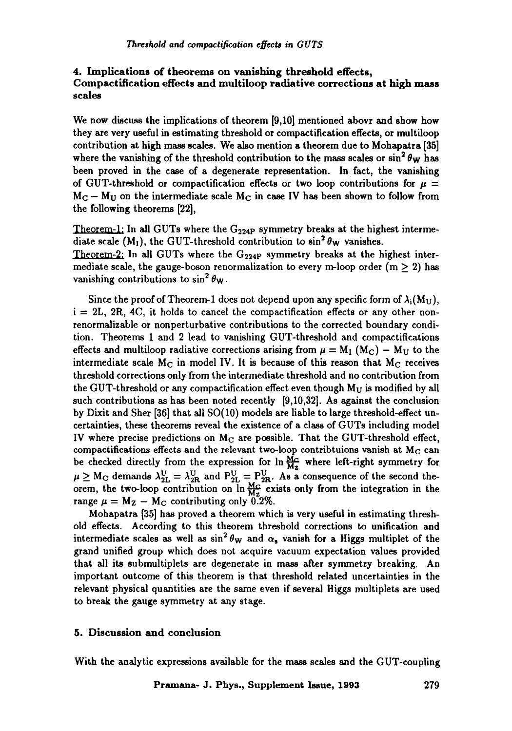# **4. Implications of theorems on vanishing threshold effects, Compactification effects and multiloop radiative corrections at high mass**  scale8

We now discuss the implications of theorem [9,10] mentioned abovr and show how they are very useful in estimating threshold or compactification effects, or multiloop contribution at high mass scales. We also mention a theorem due to Mohapatra [35] where the vanishing of the threshold contribution to the mass scales or  $\sin^2 \theta_W$  has been proved in the case of a degenerate representation. In fact, the vanishing of GUT-threshold or compactification effects or two loop contributions for  $\mu =$  $M_C - M_U$  on the intermediate scale  $M_C$  in case IV has been shown to follow from the following theorems [22],

Theorem-1: In all GUTs where the  $G_{224P}$  symmetry breaks at the highest intermediate scale (M<sub>I</sub>), the GUT-threshold contribution to  $\sin^2 \theta_W$  vanishes. Theorem-2: In all GUTs where the  $G_{224P}$  symmetry breaks at the highest intermediate scale, the gauge-boson renormalization to every m-loop order  $(m \ge 2)$  has vanishing contributions to  $\sin^2 \theta_w$ .

Since the proof of Theorem-1 does not depend upon any specific form of  $\lambda_i(M_U)$ ,  $i = 2L$ , 2R, 4C, it holds to cancel the compactification effects or any other nonrenormalizable or nonperturbative contributions to the corrected boundary condition. Theorems 1 and 2 lead to vanishing GUT-threshold and compactifications effects and multiloop radiative corrections arising from  $\mu = M_1 (M_C) - M_U$  to the intermediate scale  $M_C$  in model IV. It is because of this reason that  $M_C$  receives threshold corrections only from the intermediate threshold and no contribution from the GUT-threshold or any compactification effect even though  $M_U$  is modified by all such contributions as has been noted recently [9,10,32]. As against the conclusion by Dixit and Sher [36] that all SO(10) models are liable to large threshold-effect uncertainties, these theorems reveal the existence of a class of GUTs including model IV where precise predictions on  $M_{\rm C}$  are possible. That the GUT-threshold effect, compactifications effects and the relevant two-loop contribtuions vanish at  $M_C$  can be checked directly from the expression for  $\ln \frac{M_C}{M_Z}$  where left-right symmetry for  $\mu \ge M_{\rm C}$  demands  $\lambda_{2L}^{\rm U} = \lambda_{2R}^{\rm U}$  and  $P_{2L}^{\rm U} = P_{2R}^{\rm U}$ . As a consequence of the second theorem, the two-loop contribution on  $\ln \frac{MG}{MG}$  exists only from the integration in the range  $\mu = M_Z - M_C$  contributing only 0.2%.

Mohapatra [35] has proved a theorem which is very useful in estimating threshold effects. According to this theorem threshold corrections to unification and intermediate scales as well as  $\sin^2 \theta_W$  and  $\alpha_s$  vanish for a Higgs multiplet of the grand unified group which does not acquire vacuum expectation values provided that all its submultiplets are degenerate in mass after symmetry breaking. An important outcome of this theorem is that threshold related uncertainties in the relevant physical quantities are the same even if several Higgs multiplets are used to break the gauge symmetry at any stage.

## **5. Discussion and conclusion**

With the analytic expressions available for the mass scales and the GUT-coupling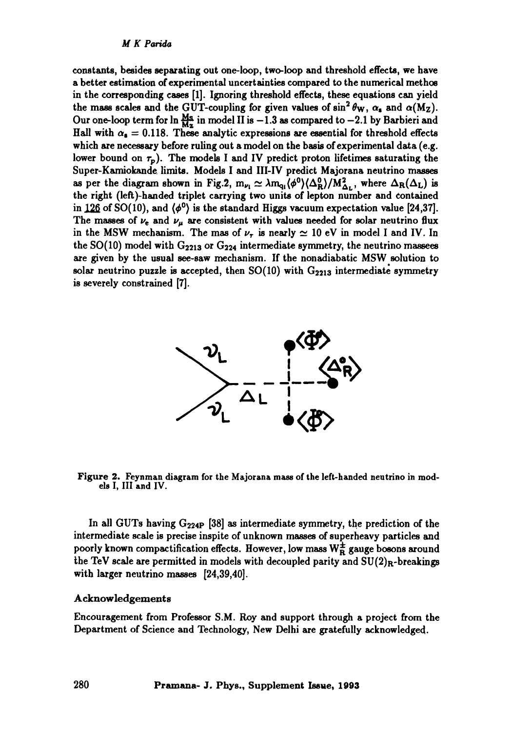*M K Parida* 

constants, besides separating out one-loop, two-loop and threshold effects, we have a better estimation of experimental uncertainties compared to the numerical methos in the corresponding cases [1]. Ignoring threshold effects, these equations can yield the mass scales and the GUT-coupling for given values of  $\sin^2 \theta_w$ ,  $\alpha_s$  and  $\alpha(M_Z)$ . Our one-loop term for  $\ln \frac{M_s}{M_z}$  in model II is  $-1.3$  as compared to  $-2.1$  by Barbieri and Hall with  $\alpha_s = 0.118$ . These analytic expressions are essential for threshold effects which are necessary before ruling out a model on the basis of experimental data (e.g. lower bound on  $\tau_p$ ). The models I and IV predict proton lifetimes saturating the Super-Kamiokande limits. Models I and Ill-IV predict Majorana neutrino masses as per the diagram shown in Fig.2,  $m_{\nu_1} \simeq \lambda m_{q_1} \langle \phi^0 \rangle \langle \Delta_R^0 \rangle / M_{\Delta_L}^2$ , where  $\Delta_R(\Delta_L)$  is the right (left)-handed triplet carrying two units of lepton number and contained in 126 of SO(10), and  $\langle \phi^0 \rangle$  is the standard Higgs vacuum expectation value [24,37]. The masses of  $\nu_e$  and  $\nu_\mu$  are consistent with values needed for solar neutrino flux in the MSW mechanism. The mas of  $\nu_{\tau}$  is nearly  $\simeq$  10 eV in model I and IV. In the  $SO(10)$  model with  $G_{2213}$  or  $G_{224}$  intermediate symmetry, the neutrino massees are given by the usual see-saw mechanism. If the nonadiabatic MSW solution to solar neutrino puzzle is accepted, then  $SO(10)$  with  $G_{2213}$  intermediate symmetry is severely constrained [7].



Figure 2. Feynman diagram for the Majorana mass of the left-handed neutrino in **models** I, III and IV.

In all GUTs having  $G_{224P}$  [38] as intermediate symmetry, the prediction of the intermediate scale is precise inspite of unknown masses of superheavy particles and poorly known compactification effects. However, low mass  $W_R^{\pm}$  gauge bosons around the TeV scale are permitted in models with decoupled parity and  $SU(2)_R$ -breakings with larger neutrino masses [24,39,40].

## Acknowledgements

Encouragement from Professor S.M. Roy and support through a project from the Department of Science and Technology, New Delhi are gratefully acknowledged.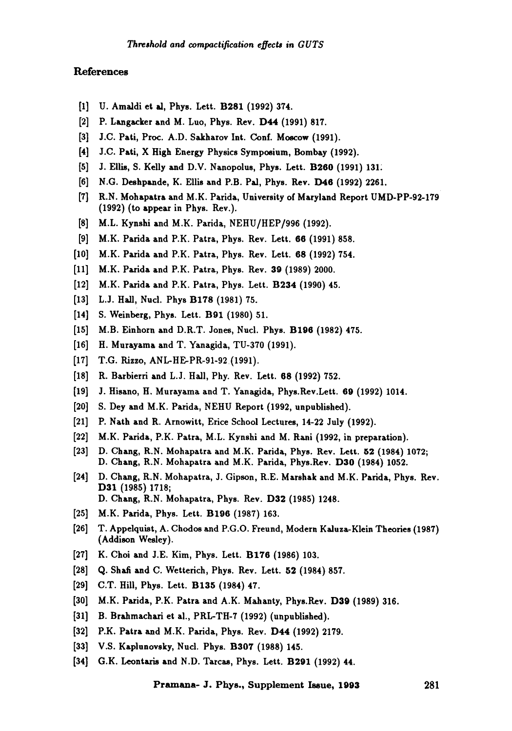### References

- [1] U. Amaldi et al, Phys. Lett. B281 (1992) 374.
- [2] P. Langacker and M. Luo, Phys. Rev. D44 (1991) 817.
- [3] J.C. Pati, Proc. A.D. Sakharov Int. Conf. Moscow (1991).
- [4] J.C. Pati, X High Energy Physics Symposium, Bombay (1992).
- [5] J. Ellis, S. Kelly and D.V. Nanopolus, Phys. Lett. B260 (1991) 131.
- [6] N.G. Deshpande, K. Ellis and P.B. Pal, Phys. Rev. D46 (1992) 2261.
- [7] R.N. Mohapatra and M.K. Parida, University of Maryland Report UMD-PP-92-179 (1992) (to appeax in Phys. Rev.).
- [8] M.L. Kynshi and M.K. Parida, NEHU/HEP/996 (1992).
- [9] M.K. Parida and P.K. Patra, Phys. Rev. Lett. 66 (1991) 858.
- [10] M.K. Paxida and P.K. Patra, Phys. Rev. Lett. 68 (1992) 754.
- [11] M.K. Parida and P.K. Patra, Phys. Rev. 39 (1989) 2000.
- [12] M.K. Parida and P.K. Patra, Phys. Lett. B234 (1990) 45.
- [13] L.J. Hall, Nucl. Phys B178 (1981) 75.
- [14] S. Weinberg, Phys. Lett. B91 (1980) 51.
- [15] M.B. Einhorn and D.R.T. Jones, Nucl. Phys. B196 (1982) 475.
- [16] H. Murayama and T. Yanagida, TU-370 (1991).
- [17] T.G. Rizzo, ANL-HE-PR-91-92 (1991).
- [18] R. Barbierri and L.J. Hall, Phy. Rev. Lett. 68 (1992) 752.
- [19] J. Hisano, H. Murayama and T. Yanagida, Phys.Rev.Lett. 69 (1992) 1014.
- [20] S. Dey and M.K. Parida, NEHU Report (1992, unpublished).
- [21] P. Nath and R. Arnowitt, Erice School Lectures, 14-22 July (1992).
- [22] M.K. Paxida, P.K. Patra, M.L. Kynshi and M. Rani (1992, in preparation).
- [23] D. Chang, R.N. Mohapatra and M.K. Parida, Phys. Rev. Lett. 52 (1984) 1072; D. Chang, R.N. Mohapatra and M.K. Parida, Phys.Rev. D30 (1984) 1052.
- [24] D. Chang, R.N. Mohapatra, J. Gipson, R.E. Marshak and M.K. Parida, Phys. Rev. **D31 (1985) 1718;**  D. Chang, R.N. Mohapatra, Phys. Rev. D32 (1985) 1248.
- [25] M.K. Parida, Phys. Lett. B196 (1987) 163.
- [26] T. Appelquist, A. Chodos and P.G.O. Freund, Modern Kaluza-Klein Theories (1987) (Addison Wesley).
- [27] K. Choi and J.E. Kim, Phys. Lett. B176 (1986) 103.
- [28] Q. Shaft and C. Wetterich, Phys. Rev. Lett. 52 (1984) 857.
- [29] C.T. Hill, Phys. Lett. B135 (1984) 47.
- [30] M.K. Parida, P.K. Patra and A.K. Mahanty, Phys.Rev. D39 (1989) 316.
- [31] B. Brahmachari et al., PRL-TH-7 (1992) (unpublished).
- [32] P.K. Patra and M.K. Parida, Phys. Rev. D44 (1992) 2179.
- [33] V.S. Kaplunovsky, Nucl. Phys. B307 (1988) 145.
- [34] G.K. Leontaris and N.D. Tarcas, Phys. Lett. B291 (1992) 44.